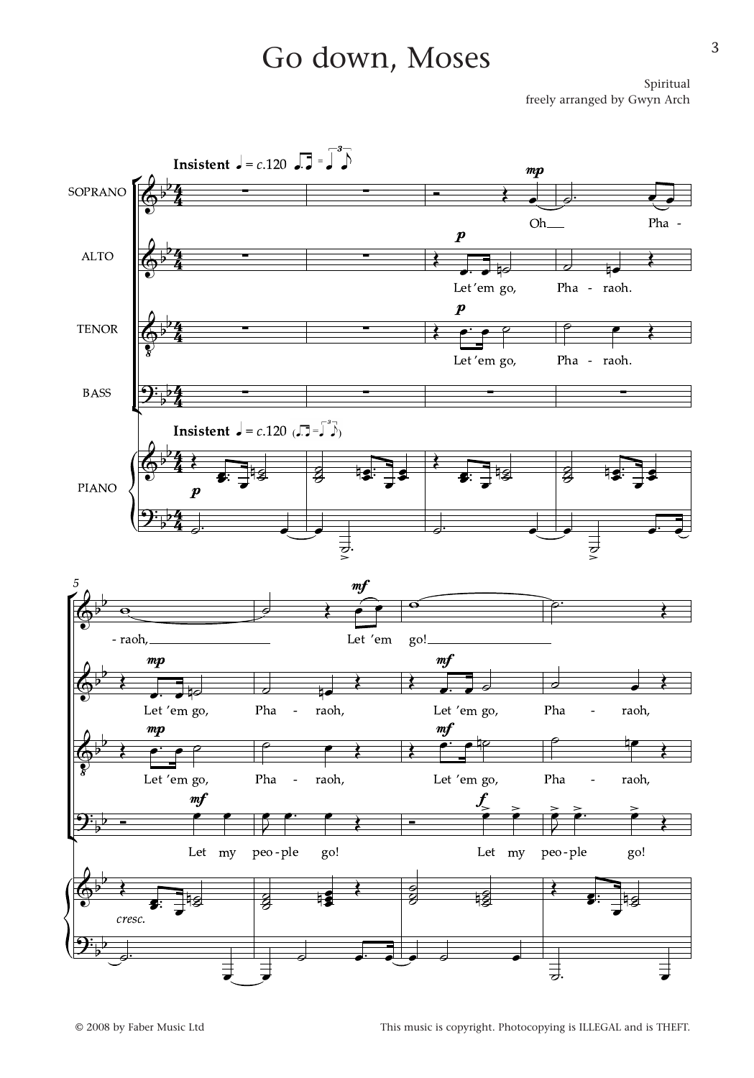## Go down, Moses

Spiritual freely arranged by Gwyn Arch

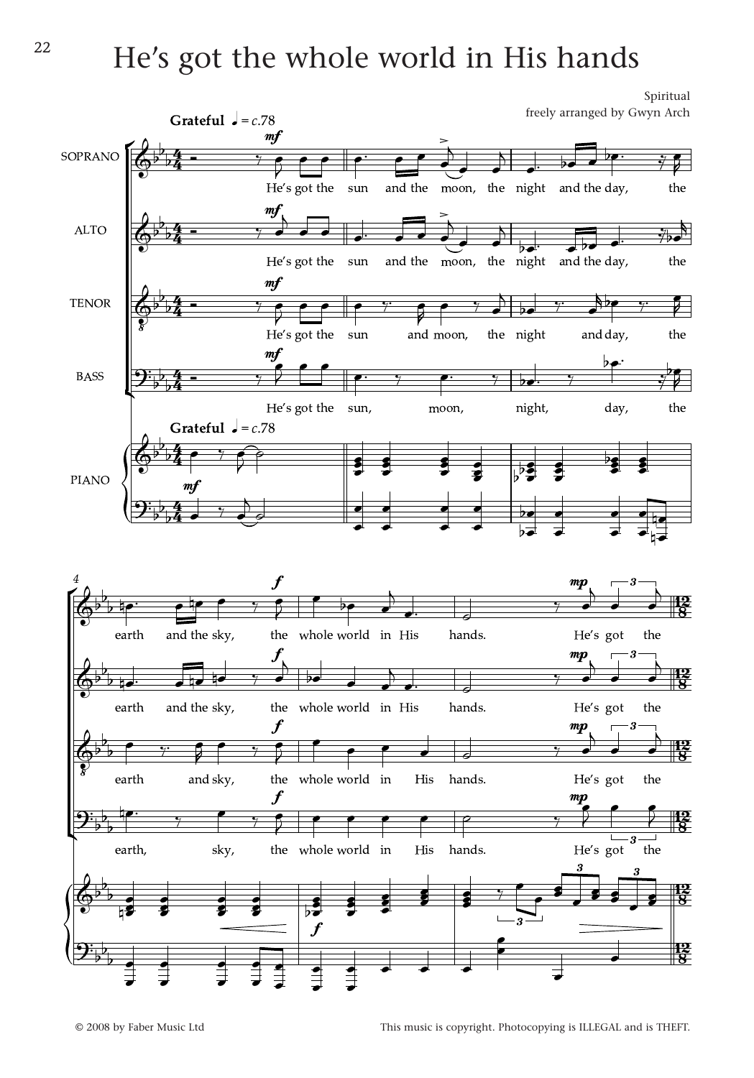## $22$  He's got the whole world in His hands